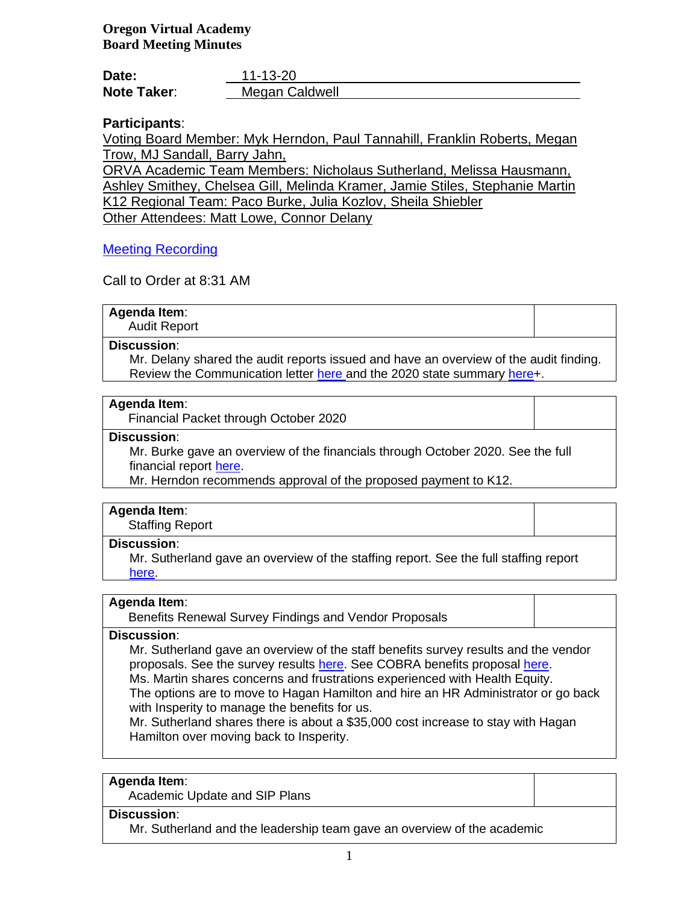**Oregon Virtual Academy Board Meeting Minutes**

| Date:              | 11-13-20       |
|--------------------|----------------|
| <b>Note Taker:</b> | Megan Caldwell |

# **Participants**:

Voting Board Member: Myk Herndon, Paul Tannahill, Franklin Roberts, Megan Trow, MJ Sandall, Barry Jahn,

ORVA Academic Team Members: Nicholaus Sutherland, Melissa Hausmann, Ashley Smithey, Chelsea Gill, Melinda Kramer, Jamie Stiles, Stephanie Martin K12 Regional Team: Paco Burke, Julia Kozlov, Sheila Shiebler Other Attendees: Matt Lowe, Connor Delany

# [Meeting Recording](file:///C:/Users/mcaldwell.ORVA/OneDrive%20-%20K12%20Inc/Documents/Secretary%20to%20the%20Board/Board%20Meetings/20-21/November%202020/zoom_0.mp4)

Call to Order at 8:31 AM

| <b>Agenda Item:</b> |  |
|---------------------|--|
| <b>Audit Report</b> |  |
| . .                 |  |

# **Discussion**:

Mr. Delany shared the audit reports issued and have an overview of the audit finding. Review the Communication letter [here](file:///C:/Users/mcaldwell.ORVA/OneDrive%20-%20K12%20Inc/Documents/Secretary%20to%20the%20Board/Board%20Meetings/20-21/November%202020/Governing%20Body%20Communication%20Letter.pdf) and the 2020 state summary [here+](file:///C:/Users/mcaldwell.ORVA/OneDrive%20-%20K12%20Inc/Documents/Secretary%20to%20the%20Board/Board%20Meetings/20-21/November%202020/Oregon%20Virtual%20Academy%202020%20Financial%20Report.pdf).

## **Agenda Item**:

Financial Packet through October 2020

### **Discussion**:

Mr. Burke gave an overview of the financials through October 2020. See the full financial report [here.](file:///C:/Users/mcaldwell.ORVA/OneDrive%20-%20K12%20Inc/ORVA%20Board/Board%20Packets%2020-21/5-%20November%202020/1.%20ORVA%20FY21%204%208%20Financials%20Presentation%20(11-11-20)_final.pptx)

Mr. Herndon recommends approval of the proposed payment to K12.

### **Agenda Item**:

Staffing Report

### **Discussion**:

Mr. Sutherland gave an overview of the staffing report. See the full staffing report [here.](file:///C:/Users/mcaldwell.ORVA/OneDrive%20-%20K12%20Inc/ORVA%20Board/Board%20Packets%2020-21/5-%20November%202020/November%202020%20Staffing%20Report.pdf)

## **Agenda Item**:

Benefits Renewal Survey Findings and Vendor Proposals

### **Discussion**:

Mr. Sutherland gave an overview of the staff benefits survey results and the vendor proposals. See the survey results [here.](file:///C:/Users/mcaldwell.ORVA/OneDrive%20-%20K12%20Inc/ORVA%20Board/Board%20Packets%2020-21/5-%20November%202020/Benefits%20Survey%20Results%20and%20Hagan%20Hamilton%20Praposal.pdf) See COBRA benefits proposal [here.](file:///C:/Users/mcaldwell.ORVA/OneDrive%20-%20K12%20Inc/ORVA%20Board/Board%20Packets%2020-21/5-%20November%202020/COBRA%20plan%20proposal.pdf) Ms. Martin shares concerns and frustrations experienced with Health Equity.

The options are to move to Hagan Hamilton and hire an HR Administrator or go back with Insperity to manage the benefits for us.

Mr. Sutherland shares there is about a \$35,000 cost increase to stay with Hagan Hamilton over moving back to Insperity.

### **Agenda Item**:

Academic Update and SIP Plans

### **Discussion**:

Mr. Sutherland and the leadership team gave an overview of the academic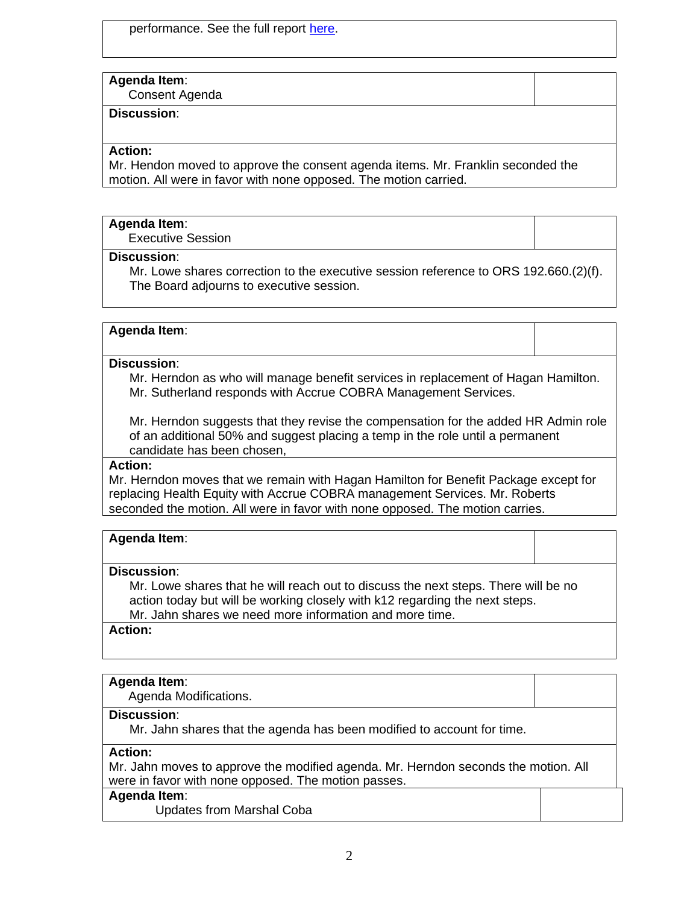performance. See the full report [here.](file:///C:/Users/mcaldwell.ORVA/OneDrive%20-%20K12%20Inc/ORVA%20Board/Board%20Packets%2020-21/5-%20November%202020/Fall%20Performance%20Review%20and%20Revised%20SIP%20Plan.pdf)

## **Agenda Item**:

Consent Agenda

# **Discussion**:

## **Action:**

Mr. Hendon moved to approve the consent agenda items. Mr. Franklin seconded the motion. All were in favor with none opposed. The motion carried.

### **Agenda Item**:

Executive Session

## **Discussion**:

Mr. Lowe shares correction to the executive session reference to ORS 192.660.(2)(f). The Board adjourns to executive session.

### **Agenda Item**:

## **Discussion**:

Mr. Herndon as who will manage benefit services in replacement of Hagan Hamilton. Mr. Sutherland responds with Accrue COBRA Management Services.

Mr. Herndon suggests that they revise the compensation for the added HR Admin role of an additional 50% and suggest placing a temp in the role until a permanent candidate has been chosen,

# **Action:**

Mr. Herndon moves that we remain with Hagan Hamilton for Benefit Package except for replacing Health Equity with Accrue COBRA management Services. Mr. Roberts seconded the motion. All were in favor with none opposed. The motion carries.

| <b>Agenda Item:</b> |  |  |  |
|---------------------|--|--|--|
|---------------------|--|--|--|

#### **Discussion**:

Mr. Lowe shares that he will reach out to discuss the next steps. There will be no action today but will be working closely with k12 regarding the next steps. Mr. Jahn shares we need more information and more time.

### **Action:**

### **Agenda Item**:

Agenda Modifications.

### **Discussion**:

Mr. Jahn shares that the agenda has been modified to account for time.

# **Action:**

Mr. Jahn moves to approve the modified agenda. Mr. Herndon seconds the motion. All were in favor with none opposed. The motion passes.

#### **Agenda Item**:

Updates from Marshal Coba